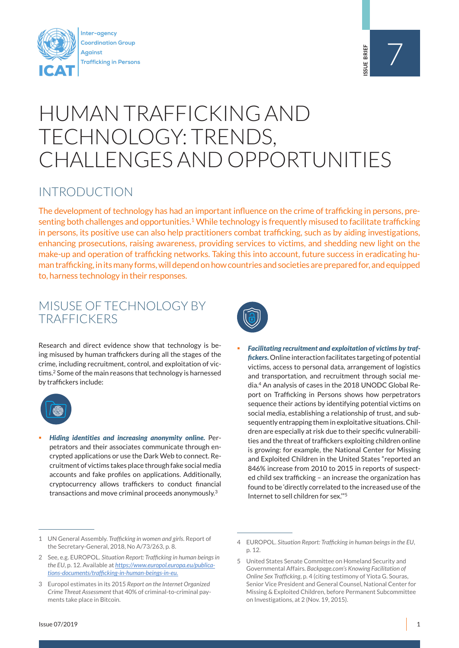



# HUMAN TRAFFICKING AND TECHNOLOGY: TRENDS, CHALLENGES AND OPPORTUNITIES

#### INTRODUCTION

The development of technology has had an important influence on the crime of trafficking in persons, presenting both challenges and opportunities.<sup>1</sup> While technology is frequently misused to facilitate trafficking in persons, its positive use can also help practitioners combat trafficking, such as by aiding investigations, enhancing prosecutions, raising awareness, providing services to victims, and shedding new light on the make-up and operation of trafficking networks. Taking this into account, future success in eradicating human trafficking, in its many forms, will depend on how countries and societies are prepared for, and equipped to, harness technology in their responses.

#### MISUSE OF TECHNOLOGY BY **TRAFFICKERS**

Research and direct evidence show that technology is being misused by human traffickers during all the stages of the crime, including recruitment, control, and exploitation of victims.<sup>2</sup> Some of the main reasons that technology is harnessed by traffickers include:



 *Hiding identities and increasing anonymity online.* Perpetrators and their associates communicate through encrypted applications or use the Dark Web to connect. Recruitment of victims takes place through fake social media accounts and fake profiles on applications. Additionally, cryptocurrency allows traffickers to conduct financial transactions and move criminal proceeds anonymously.<sup>3</sup>



 *Facilitating recruitment and exploitation of victims by traffickers.*Online interaction facilitates targeting of potential victims, access to personal data, arrangement of logistics and transportation, and recruitment through social media.<sup>4</sup> An analysis of cases in the 2018 UNODC Global Report on Trafficking in Persons shows how perpetrators sequence their actions by identifying potential victims on social media, establishing a relationship of trust, and subsequently entrapping them in exploitative situations. Children are especially at risk due to their specific vulnerabilities and the threat of traffickers exploiting children online is growing: for example, the National Center for Missing and Exploited Children in the United States "reported an 846% increase from 2010 to 2015 in reports of suspected child sex trafficking – an increase the organization has found to be 'directly correlated to the increased use of the Internet to sell children for sex.'"5

<sup>1</sup> UN General Assembly. *Trafficking in women and girls*. Report of the Secretary-General, 2018, No A/73/263, p. 8.

<sup>2</sup> See, e.g. EUROPOL. *Situation Report: Trafficking in human beings in the EU*, p. 12. Available at *https://www.europol.europa.eu/publications-documents/trafficking-in-human-beings-in-eu.*

<sup>3</sup> Europol estimates in its 2015 *Report on the Internet Organized Crime Threat Assessment* that 40% of criminal-to-criminal payments take place in Bitcoin.

<sup>4</sup> EUROPOL. *Situation Report: Trafficking in human beings in the EU*, p. 12.

<sup>5</sup> United States Senate Committee on Homeland Security and Governmental Affairs. *Backpage.com's Knowing Facilitation of Online Sex Trafficking*, p. 4 (citing testimony of Yiota G. Souras, Senior Vice President and General Counsel, National Center for Missing & Exploited Children, before Permanent Subcommittee on Investigations, at 2 (Nov. 19, 2015).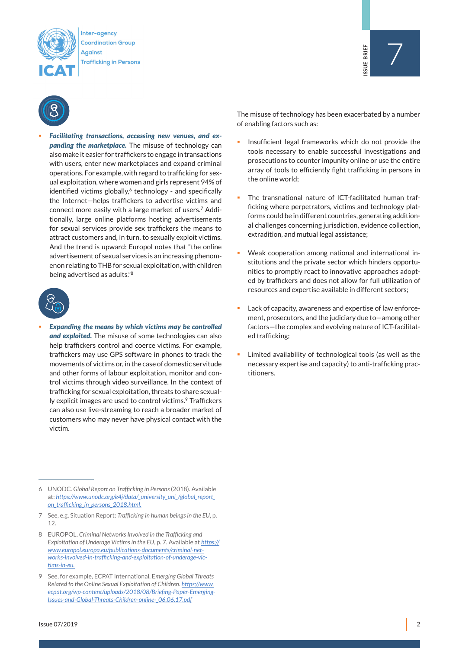

Inter-agency Coordination Group Against **Trafficking in Persons** 



 *Facilitating transactions, accessing new venues, and expanding the marketplace.* The misuse of technology can also make it easier for traffickers to engage in transactions with users, enter new marketplaces and expand criminal operations. For example, with regard to trafficking for sexual exploitation, where women and girls represent 94% of identified victims globally, $6$  technology - and specifically the Internet—helps traffickers to advertise victims and connect more easily with a large market of users.7 Additionally, large online platforms hosting advertisements for sexual services provide sex traffickers the means to attract customers and, in turn, to sexually exploit victims. And the trend is upward: Europol notes that "the online advertisement of sexual services is an increasing phenomenon relating to THB for sexual exploitation, with children being advertised as adults."8



 *Expanding the means by which victims may be controlled and exploited.* The misuse of some technologies can also help traffickers control and coerce victims. For example, traffickers may use GPS software in phones to track the movements of victims or, in the case of domestic servitude and other forms of labour exploitation, monitor and control victims through video surveillance. In the context of trafficking for sexual exploitation, threats to share sexually explicit images are used to control victims.<sup>9</sup> Traffickers can also use live-streaming to reach a broader market of customers who may never have physical contact with the victim.

6 UNODC. *Global Report on Trafficking in Persons* (2018). Available at: *https://www.unodc.org/e4j/data/\_university\_uni\_/global\_report\_ on\_trafficking\_in\_persons\_2018.html.*

7 See, e.g. Situation Report: *Trafficking in human beings in the EU*, p. 12.

8 EUROPOL. *Criminal Networks Involved in the Trafficking and Exploitation of Underage Victims in the EU*, p. 7. Available at *https:// www.europol.europa.eu/publications-documents/criminal-networks-involved-in-trafficking-and-exploitation-of-underage-victims-in-eu.*

The misuse of technology has been exacerbated by a number of enabling factors such as:

7

**ISSUE BRIEF** 

SSUE BRIEF

- Insufficient legal frameworks which do not provide the tools necessary to enable successful investigations and prosecutions to counter impunity online or use the entire array of tools to efficiently fight trafficking in persons in the online world;
- The transnational nature of ICT-facilitated human trafficking where perpetrators, victims and technology platforms could be in different countries, generating additional challenges concerning jurisdiction, evidence collection, extradition, and mutual legal assistance;
- Weak cooperation among national and international institutions and the private sector which hinders opportunities to promptly react to innovative approaches adopted by traffickers and does not allow for full utilization of resources and expertise available in different sectors;
- Lack of capacity, awareness and expertise of law enforcement, prosecutors, and the judiciary due to—among other factors—the complex and evolving nature of ICT-facilitated trafficking;
- Limited availability of technological tools (as well as the necessary expertise and capacity) to anti-trafficking practitioners.

<sup>9</sup> See, for example, ECPAT International, E*merging Global Threats Related to the Online Sexual Exploitation of Children. https://www. ecpat.org/wp-content/uploads/2018/08/Briefing-Paper-Emerging-Issues-and-Global-Threats-Children-online-\_06.06.17.pdf*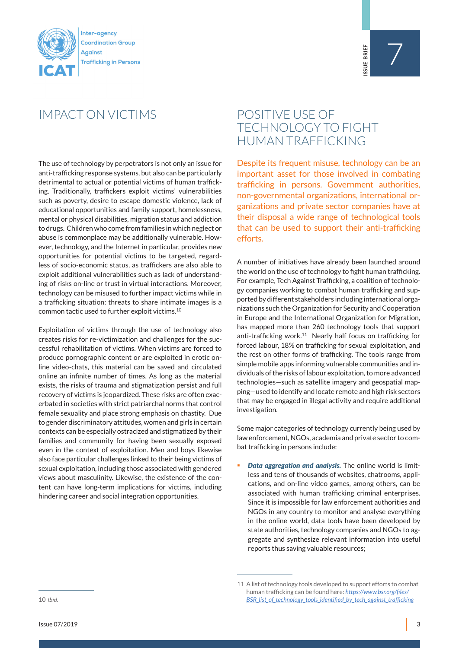

# IMPACT ON VICTIMS

The use of technology by perpetrators is not only an issue for anti-trafficking response systems, but also can be particularly detrimental to actual or potential victims of human trafficking. Traditionally, traffickers exploit victims' vulnerabilities such as poverty, desire to escape domestic violence, lack of educational opportunities and family support, homelessness, mental or physical disabilities, migration status and addiction to drugs. Children who come from families in which neglect or abuse is commonplace may be additionally vulnerable. However, technology, and the Internet in particular, provides new opportunities for potential victims to be targeted, regardless of socio-economic status, as traffickers are also able to exploit additional vulnerabilities such as lack of understanding of risks on-line or trust in virtual interactions. Moreover, technology can be misused to further impact victims while in a trafficking situation: threats to share intimate images is a common tactic used to further exploit victims.10

Exploitation of victims through the use of technology also creates risks for re-victimization and challenges for the successful rehabilitation of victims. When victims are forced to produce pornographic content or are exploited in erotic online video-chats, this material can be saved and circulated online an infinite number of times. As long as the material exists, the risks of trauma and stigmatization persist and full recovery of victims is jeopardized. These risks are often exacerbated in societies with strict patriarchal norms that control female sexuality and place strong emphasis on chastity. Due to gender discriminatory attitudes, women and girls in certain contexts can be especially ostracized and stigmatized by their families and community for having been sexually exposed even in the context of exploitation. Men and boys likewise also face particular challenges linked to their being victims of sexual exploitation, including those associated with gendered views about masculinity. Likewise, the existence of the content can have long-term implications for victims, including hindering career and social integration opportunities.

### POSITIVE USE OF TECHNOLOGY TO FIGHT HUMAN TRAFFICKING

Despite its frequent misuse, technology can be an important asset for those involved in combating trafficking in persons. Government authorities, non-governmental organizations, international organizations and private sector companies have at their disposal a wide range of technological tools that can be used to support their anti-trafficking efforts.

A number of initiatives have already been launched around the world on the use of technology to fight human trafficking. For example, Tech Against Trafficking, a coalition of technology companies working to combat human trafficking and supported by different stakeholders including international organizations such the Organization for Security and Cooperation in Europe and the International Organization for Migration, has mapped more than 260 technology tools that support anti-trafficking work.<sup>11</sup> Nearly half focus on trafficking for forced labour, 18% on trafficking for sexual exploitation, and the rest on other forms of trafficking. The tools range from simple mobile apps informing vulnerable communities and individuals of the risks of labour exploitation, to more advanced technologies—such as satellite imagery and geospatial mapping—used to identify and locate remote and high risk sectors that may be engaged in illegal activity and require additional investigation.

Some major categories of technology currently being used by law enforcement, NGOs, academia and private sector to combat trafficking in persons include:

 *Data aggregation and analysis.* The online world is limitless and tens of thousands of websites, chatrooms, applications, and on-line video games, among others, can be associated with human trafficking criminal enterprises. Since it is impossible for law enforcement authorities and NGOs in any country to monitor and analyse everything in the online world, data tools have been developed by state authorities, technology companies and NGOs to aggregate and synthesize relevant information into useful reports thus saving valuable resources;

10 *Ibid.*

<sup>11</sup> A list of technology tools developed to support efforts to combat human trafficking can be found here: *https://www.bsr.org/files/ BSR\_list\_of\_technology\_tools\_identified\_by\_tech\_against\_trafficking*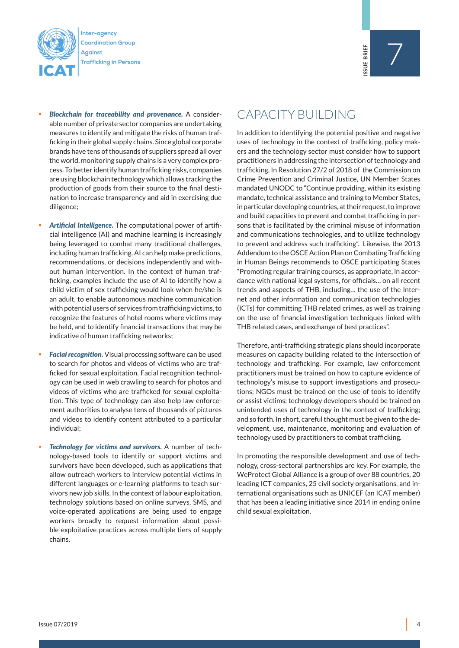

- *Blockchain for traceability and provenance.* A considerable number of private sector companies are undertaking measures to identify and mitigate the risks of human trafficking in their global supply chains. Since global corporate brands have tens of thousands of suppliers spread all over the world, monitoring supply chains is a very complex process. To better identify human trafficking risks, companies are using blockchain technology which allows tracking the production of goods from their source to the final destination to increase transparency and aid in exercising due diligence;
- *Artificial Intelligence.* The computational power of artificial intelligence (AI) and machine learning is increasingly being leveraged to combat many traditional challenges, including human trafficking. AI can help make predictions, recommendations, or decisions independently and without human intervention. In the context of human trafficking, examples include the use of AI to identify how a child victim of sex trafficking would look when he/she is an adult, to enable autonomous machine communication with potential users of services from trafficking victims, to recognize the features of hotel rooms where victims may be held, and to identify financial transactions that may be indicative of human trafficking networks;
- **Facial recognition.** Visual processing software can be used to search for photos and videos of victims who are trafficked for sexual exploitation. Facial recognition technology can be used in web crawling to search for photos and videos of victims who are trafficked for sexual exploitation. This type of technology can also help law enforcement authorities to analyse tens of thousands of pictures and videos to identify content attributed to a particular individual;
- *Technology for victims and survivors.* A number of technology-based tools to identify or support victims and survivors have been developed, such as applications that allow outreach workers to interview potential victims in different languages or e-learning platforms to teach survivors new job skills. In the context of labour exploitation, technology solutions based on online surveys, SMS, and voice-operated applications are being used to engage workers broadly to request information about possible exploitative practices across multiple tiers of supply chains.

# CAPACITY BUILDING

In addition to identifying the potential positive and negative uses of technology in the context of trafficking, policy makers and the technology sector must consider how to support practitioners in addressing the intersection of technology and trafficking. In Resolution 27/2 of 2018 of the Commission on Crime Prevention and Criminal Justice, UN Member States mandated UNODC to "Continue providing, within its existing mandate, technical assistance and training to Member States, in particular developing countries, at their request, to improve and build capacities to prevent and combat trafficking in persons that is facilitated by the criminal misuse of information and communications technologies, and to utilize technology to prevent and address such trafficking". Likewise, the 2013 Addendum to the OSCE Action Plan on Combating Trafficking in Human Beings recommends to OSCE participating States "Promoting regular training courses, as appropriate, in accordance with national legal systems, for officials… on all recent trends and aspects of THB, including… the use of the Internet and other information and communication technologies (ICTs) for committing THB related crimes, as well as training on the use of financial investigation techniques linked with THB related cases, and exchange of best practices".

Therefore, anti-trafficking strategic plans should incorporate measures on capacity building related to the intersection of technology and trafficking. For example, law enforcement practitioners must be trained on how to capture evidence of technology's misuse to support investigations and prosecutions; NGOs must be trained on the use of tools to identify or assist victims; technology developers should be trained on unintended uses of technology in the context of trafficking; and so forth. In short, careful thought must be given to the development, use, maintenance, monitoring and evaluation of technology used by practitioners to combat trafficking.

In promoting the responsible development and use of technology, cross-sectoral partnerships are key. For example, the WeProtect Global Alliance is a group of over 88 countries, 20 leading ICT companies, 25 civil society organisations, and international organisations such as UNICEF (an ICAT member) that has been a leading initiative since 2014 in ending online child sexual exploitation.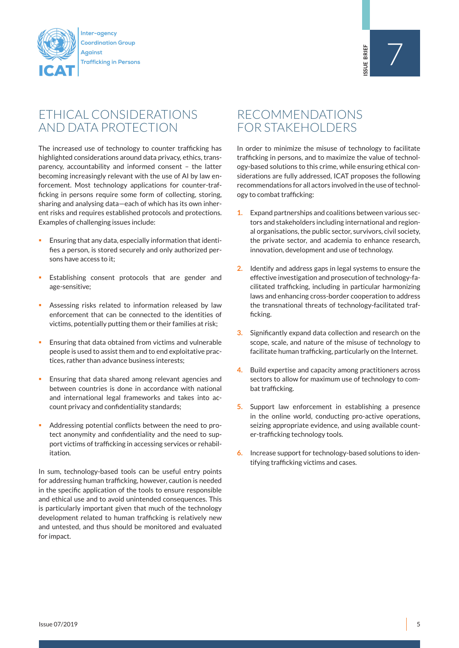

# ETHICAL CONSIDERATIONS AND DATA PROTECTION

The increased use of technology to counter trafficking has highlighted considerations around data privacy, ethics, transparency, accountability and informed consent – the latter becoming increasingly relevant with the use of AI by law enforcement. Most technology applications for counter-trafficking in persons require some form of collecting, storing, sharing and analysing data—each of which has its own inherent risks and requires established protocols and protections. Examples of challenging issues include:

- Ensuring that any data, especially information that identifies a person, is stored securely and only authorized persons have access to it;
- Establishing consent protocols that are gender and age-sensitive;
- Assessing risks related to information released by law enforcement that can be connected to the identities of victims, potentially putting them or their families at risk;
- **Ensuring that data obtained from victims and vulnerable** people is used to assist them and to end exploitative practices, rather than advance business interests;
- Ensuring that data shared among relevant agencies and between countries is done in accordance with national and international legal frameworks and takes into account privacy and confidentiality standards;
- Addressing potential conflicts between the need to protect anonymity and confidentiality and the need to support victims of trafficking in accessing services or rehabilitation.

In sum, technology-based tools can be useful entry points for addressing human trafficking, however, caution is needed in the specific application of the tools to ensure responsible and ethical use and to avoid unintended consequences. This is particularly important given that much of the technology development related to human trafficking is relatively new and untested, and thus should be monitored and evaluated for impact.

# RECOMMENDATIONS FOR STAKEHOLDERS

In order to minimize the misuse of technology to facilitate trafficking in persons, and to maximize the value of technology-based solutions to this crime, while ensuring ethical considerations are fully addressed, ICAT proposes the following recommendations for all actors involved in the use of technology to combat trafficking:

- **1.** Expand partnerships and coalitions between various sectors and stakeholders including international and regional organisations, the public sector, survivors, civil society, the private sector, and academia to enhance research, innovation, development and use of technology.
- **2.** Identify and address gaps in legal systems to ensure the effective investigation and prosecution of technology-facilitated trafficking, including in particular harmonizing laws and enhancing cross-border cooperation to address the transnational threats of technology-facilitated trafficking.
- **3.** Significantly expand data collection and research on the scope, scale, and nature of the misuse of technology to facilitate human trafficking, particularly on the Internet.
- **4.** Build expertise and capacity among practitioners across sectors to allow for maximum use of technology to combat trafficking.
- **5.** Support law enforcement in establishing a presence in the online world, conducting pro-active operations, seizing appropriate evidence, and using available counter-trafficking technology tools.
- **6.** Increase support for technology-based solutions to identifying trafficking victims and cases.